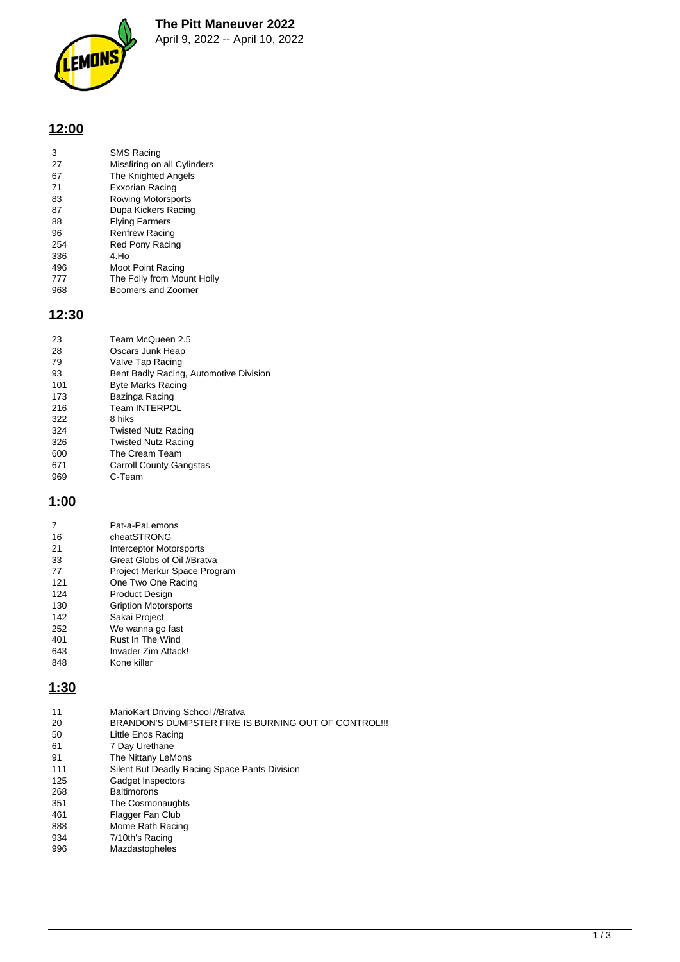**The Pitt Maneuver 2022**



April 9, 2022 -- April 10, 2022

# **12:00**

| 3   | <b>SMS Racing</b>           |
|-----|-----------------------------|
| 27  | Missfiring on all Cylinders |
| 67  | The Knighted Angels         |
| 71  | Exxorian Racing             |
| 83  | Rowing Motorsports          |
| 87  | Dupa Kickers Racing         |
| 88  | <b>Flying Farmers</b>       |
| 96  | <b>Renfrew Racing</b>       |
| 254 | Red Pony Racing             |
| 336 | 4.Ho                        |
| 496 | Moot Point Racing           |
|     |                             |

777 The Folly from Mount Holly<br>968 Boomers and Zoomer Boomers and Zoomer

### **12:30**

| 23  | Team McQueen 2.5                       |
|-----|----------------------------------------|
| 28  | Oscars Junk Heap                       |
| 79  | Valve Tap Racing                       |
| 93  | Bent Badly Racing, Automotive Division |
| 101 | <b>Byte Marks Racing</b>               |
| 173 | Bazinga Racing                         |
| 216 | <b>Team INTERPOL</b>                   |
| 322 | 8 hiks                                 |
| 324 | <b>Twisted Nutz Racing</b>             |
| 326 | <b>Twisted Nutz Racing</b>             |
| 600 | The Cream Team                         |
| 671 | <b>Carroll County Gangstas</b>         |
| 969 | C-Team                                 |

## **1:00**

|     | Pat-a-PaLemons               |
|-----|------------------------------|
| 16  | cheatSTRONG                  |
| 21  | Interceptor Motorsports      |
| 33  | Great Globs of Oil //Bratva  |
| 77  | Project Merkur Space Program |
| 121 | One Two One Racing           |
| 124 | Product Design               |
| 130 | <b>Gription Motorsports</b>  |
| 142 | Sakai Project                |
| 252 | We wanna go fast             |
| 401 | Rust In The Wind             |
| 643 | Invader Zim Attack!          |
| 848 | Kone killer                  |

### **1:30**

| BRANDON'S DUMPSTER FIRE IS BURNING OUT OF CONTROL !!!<br>20<br>50<br>Little Enos Racing<br>61<br>7 Day Urethane<br>The Nittany LeMons<br>91<br>111<br>Silent But Deadly Racing Space Pants Division<br>Gadget Inspectors<br>125<br><b>Baltimorons</b><br>268<br>351<br>The Cosmonaughts<br>461<br>Flagger Fan Club |  |
|--------------------------------------------------------------------------------------------------------------------------------------------------------------------------------------------------------------------------------------------------------------------------------------------------------------------|--|
|                                                                                                                                                                                                                                                                                                                    |  |
|                                                                                                                                                                                                                                                                                                                    |  |
|                                                                                                                                                                                                                                                                                                                    |  |
|                                                                                                                                                                                                                                                                                                                    |  |
|                                                                                                                                                                                                                                                                                                                    |  |
|                                                                                                                                                                                                                                                                                                                    |  |
|                                                                                                                                                                                                                                                                                                                    |  |
|                                                                                                                                                                                                                                                                                                                    |  |
|                                                                                                                                                                                                                                                                                                                    |  |
| 888<br>Mome Rath Racing                                                                                                                                                                                                                                                                                            |  |
| 934<br>7/10th's Racing                                                                                                                                                                                                                                                                                             |  |
| Mazdastopheles<br>996                                                                                                                                                                                                                                                                                              |  |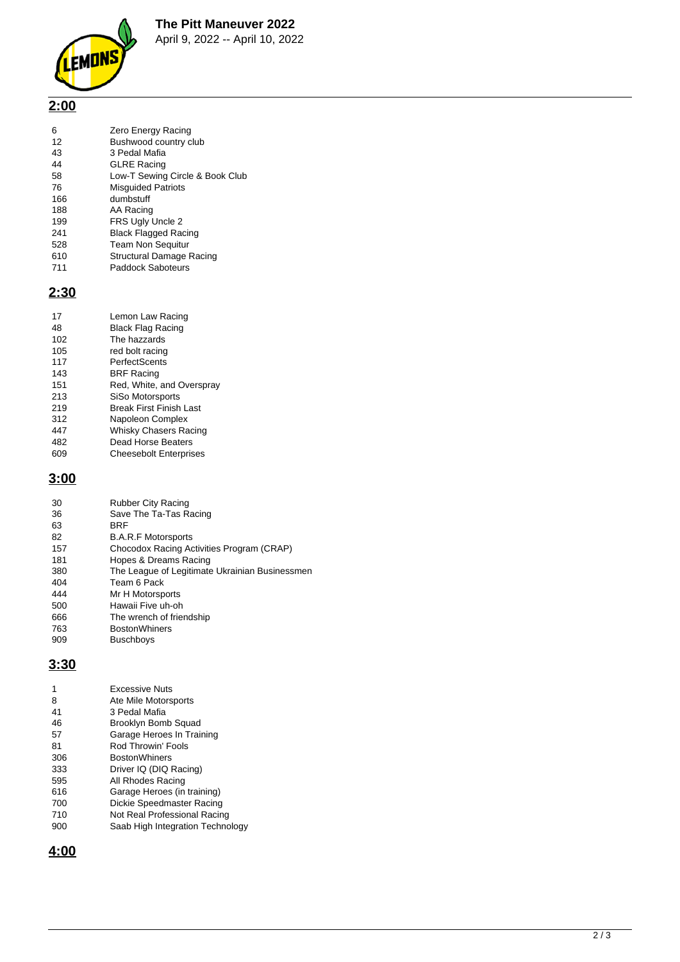**The Pitt Maneuver 2022**



April 9, 2022 -- April 10, 2022

# **2:00**

| 6   | Zero Energy Racing              |
|-----|---------------------------------|
| 12  | Bushwood country club           |
| 43  | 3 Pedal Mafia                   |
| 44  | <b>GLRE Racing</b>              |
| 58  | Low-T Sewing Circle & Book Club |
| 76  | <b>Misquided Patriots</b>       |
| 166 | dumbstuff                       |
| 188 | AA Racing                       |
| 199 | FRS Ugly Uncle 2                |
| 241 | <b>Black Flagged Racing</b>     |
| 528 | <b>Team Non Sequitur</b>        |
| 610 | Structural Damage Racing        |

610 Structural Damage Racing<br>711 Paddock Saboteurs Paddock Saboteurs

# **2:30**

| 17  | Lemon Law Racing              |
|-----|-------------------------------|
| 48  | <b>Black Flag Racing</b>      |
| 102 | The hazzards                  |
| 105 | red bolt racing               |
| 117 | PerfectScents                 |
| 143 | <b>BRF Racing</b>             |
| 151 | Red, White, and Overspray     |
| 213 | SiSo Motorsports              |
| 219 | Break First Finish Last       |
| 312 | Napoleon Complex              |
| 447 | Whisky Chasers Racing         |
| 482 | Dead Horse Beaters            |
| 609 | <b>Cheesebolt Enterprises</b> |

## **3:00**

| 30  | <b>Rubber City Racing</b>                      |
|-----|------------------------------------------------|
| 36  | Save The Ta-Tas Racing                         |
| 63  | <b>BRF</b>                                     |
| 82  | <b>B.A.R.F Motorsports</b>                     |
| 157 | Chocodox Racing Activities Program (CRAP)      |
| 181 | Hopes & Dreams Racing                          |
| 380 | The League of Legitimate Ukrainian Businessmen |
| 404 | Team 6 Pack                                    |
| 444 | Mr H Motorsports                               |
| 500 | Hawaii Five uh-oh                              |
| 666 | The wrench of friendship                       |
| 763 | <b>BostonWhiners</b>                           |
| 909 | Buschboys                                      |

### **3:30**

| 1   | <b>Excessive Nuts</b>            |
|-----|----------------------------------|
| 8   | Ate Mile Motorsports             |
| 41  | 3 Pedal Mafia                    |
| 46  | Brooklyn Bomb Squad              |
| 57  | Garage Heroes In Training        |
| 81  | Rod Throwin' Fools               |
| 306 | <b>BostonWhiners</b>             |
| 333 | Driver IQ (DIQ Racing)           |
| 595 | All Rhodes Racing                |
| 616 | Garage Heroes (in training)      |
| 700 | Dickie Speedmaster Racing        |
| 710 | Not Real Professional Racing     |
| 900 | Saab High Integration Technology |

**4:00**